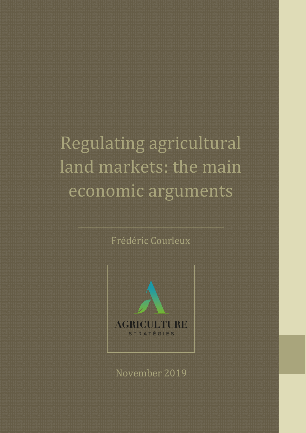## Regulating agricultural land markets: the main economic arguments

## Frédéric Courleux



November 2019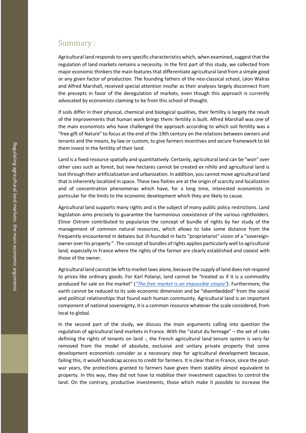## Summary :

Agricultural land responds to very specific characteristics which, when examined, suggest that the regulation of land markets remains a necessity. In the first part of this study, we collected from major economic thinkers the main features that differentiate agricultural land from a simple good or any given factor of production. The founding fathers of the neo -classical school, Léon Walras and Alfred Marshall, received special attention insofar as their analy ses largely disconnect from the precepts in favor of the deregulation of markets, even though this approach is currently advocated by economists claiming to be from this school of thought.

If soils differ in their physical, chemical and biological qualities, their fertility is largely the result of the improvements that human work brings them: fertility is built. Alfred Marshall was one of the main economists who have challenged the approach according to which soil fertility was a "free gift of Nature" to focus at the end of the 19th century on the relations between owners and tenants and the means, by law or custom, to give farmers incentive s and secure framework to let them invest in the fertility of their land.

Land is a fixed resource spatially and quantitatively. Certainly, agricultural land can be "won" over other uses such as forest, but new hectares cannot be created ex nihilo and agricultural land is lost through their artificialization and urbanization. In addition, you cannot move agricultural land that is inherently localized in space. These two fixities are at the origin of scarcity and localization and of concentration phenomenas which have, for a long time, interested economists in particular for the limits to the economic development which they are likely to cause.

Agricultural land supports many rights and is the subject of many public policy restrictions. Land legislation aims precisely to guarantee the harmonious coexistence of the various rightholders. Elinor Ostrom contributed to popularize the concept of bundle of rights by her study of the management of common natural resources, which allows to take some distance from the frequently encountered in debates but ill-founded in facts "proprietarist" vision of a "sovereignowner over his property ". The concept of bundles of rights applies particularly well to agricultural land, especially in France where the rights of the farmer are clearly established and coexist with those of the owner.

Agricultural land cannot be left to market laws alone, because the supply of land does not respond to prices like ordinary goods. For Karl Polanyi, land cannot be "treated as if it is a commodity produced for sale on the market " (*"The free market is an [impossible](https://www.washingtonpost.com/news/monkey-cage/wp/2014/07/18/the-free-market-is-an-impossible-utopia/) utopia"* ). Furthermore, the earth cannot be reduced to its sole economic dimension and be "disembedded" from the social and political relationships that found each human community. Agricultural land is an important component of national sovereignty, it is a common resource whatever the scale considered, from local to global.

In the second part of the study, we discuss the main arguments calling into question the regulation of agricultural land markets in France. With the " statut du fermage " – the set of rules defining the rights of tenants on land -, the French agricultural land tenure system is very far removed from the model of absolute, exclusive and unitary private property that some development economists consider as a necessary step for agricultural development because, failing this, it would handicap access to credit for farmers. It is clear that in France, since the postwar years, the protections granted to farmers have given them stability almost equivalent to property. In this way, they did not have to mobilize their investment capacities to control the land. On the contrary, productive investments, those which make it possible to increase the